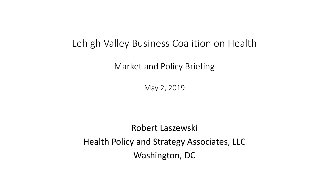### Lehigh Valley Business Coalition on Health

Market and Policy Briefing

May 2, 2019

Robert Laszewski Health Policy and Strategy Associates, LLC Washington, DC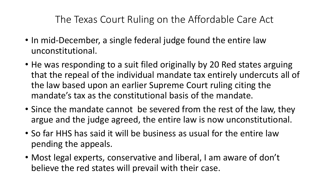The Texas Court Ruling on the Affordable Care Act

- In mid-December, a single federal judge found the entire law unconstitutional.
- He was responding to a suit filed originally by 20 Red states arguing that the repeal of the individual mandate tax entirely undercuts all of the law based upon an earlier Supreme Court ruling citing the mandate's tax as the constitutional basis of the mandate.
- Since the mandate cannot be severed from the rest of the law, they argue and the judge agreed, the entire law is now unconstitutional.
- So far HHS has said it will be business as usual for the entire law pending the appeals.
- Most legal experts, conservative and liberal, I am aware of don't believe the red states will prevail with their case.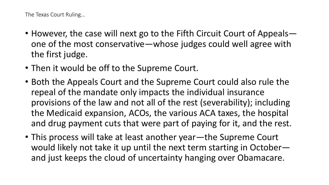The Texas Court Ruling…

- However, the case will next go to the Fifth Circuit Court of Appeals one of the most conservative—whose judges could well agree with the first judge.
- Then it would be off to the Supreme Court.
- Both the Appeals Court and the Supreme Court could also rule the repeal of the mandate only impacts the individual insurance provisions of the law and not all of the rest (severability); including the Medicaid expansion, ACOs, the various ACA taxes, the hospital and drug payment cuts that were part of paying for it, and the rest.
- This process will take at least another year—the Supreme Court would likely not take it up until the next term starting in October and just keeps the cloud of uncertainty hanging over Obamacare.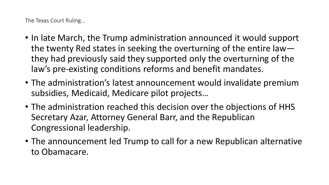The Texas Court Ruling…

- In late March, the Trump administration announced it would support the twenty Red states in seeking the overturning of the entire law they had previously said they supported only the overturning of the law's pre-existing conditions reforms and benefit mandates.
- The administration's latest announcement would invalidate premium subsidies, Medicaid, Medicare pilot projects…
- The administration reached this decision over the objections of HHS Secretary Azar, Attorney General Barr, and the Republican Congressional leadership.
- The announcement led Trump to call for a new Republican alternative to Obamacare.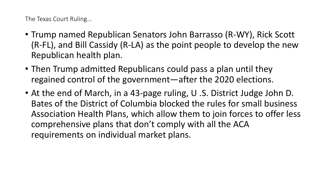The Texas Court Ruling…

- Trump named Republican Senators John Barrasso (R-WY), Rick Scott (R-FL), and Bill Cassidy (R-LA) as the point people to develop the new Republican health plan.
- Then Trump admitted Republicans could pass a plan until they regained control of the government—after the 2020 elections.
- At the end of March, in a 43-page ruling, U .S. District Judge John D. Bates of the District of Columbia blocked the rules for small business Association Health Plans, which allow them to join forces to offer less comprehensive plans that don't comply with all the ACA requirements on individual market plans.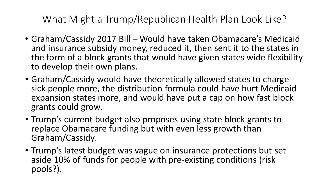What Might a Trump/Republican Health Plan Look Like?

- Graham/Cassidy 2017 Bill Would have taken Obamacare's Medicaid and insurance subsidy money, reduced it, then sent it to the states in the form of a block grants that would have given states wide flexibility to develop their own plans.
- Graham/Cassidy would have theoretically allowed states to charge sick people more, the distribution formula could have hurt Medicaid expansion states more, and would have put a cap on how fast block grants could grow.
- Trump's current budget also proposes using state block grants to replace Obamacare funding but with even less growth than Graham/Cassidy.
- Trump's latest budget was vague on insurance protections but set aside 10% of funds for people with pre-existing conditions (risk pools?).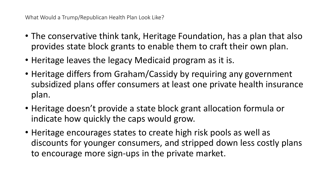- The conservative think tank, Heritage Foundation, has a plan that also provides state block grants to enable them to craft their own plan.
- Heritage leaves the legacy Medicaid program as it is.
- Heritage differs from Graham/Cassidy by requiring any government subsidized plans offer consumers at least one private health insurance plan.
- Heritage doesn't provide a state block grant allocation formula or indicate how quickly the caps would grow.
- Heritage encourages states to create high risk pools as well as discounts for younger consumers, and stripped down less costly plans to encourage more sign-ups in the private market.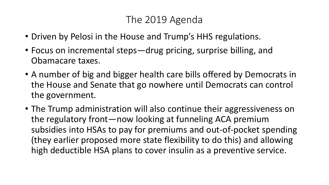# The 2019 Agenda

- Driven by Pelosi in the House and Trump's HHS regulations.
- Focus on incremental steps—drug pricing, surprise billing, and Obamacare taxes.
- A number of big and bigger health care bills offered by Democrats in the House and Senate that go nowhere until Democrats can control the government.
- The Trump administration will also continue their aggressiveness on the regulatory front—now looking at funneling ACA premium subsidies into HSAs to pay for premiums and out-of-pocket spending (they earlier proposed more state flexibility to do this) and allowing high deductible HSA plans to cover insulin as a preventive service.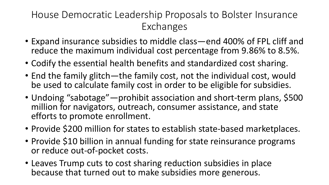# House Democratic Leadership Proposals to Bolster Insurance Exchanges

- Expand insurance subsidies to middle class—end 400% of FPL cliff and reduce the maximum individual cost percentage from 9.86% to 8.5%.
- Codify the essential health benefits and standardized cost sharing.
- End the family glitch—the family cost, not the individual cost, would be used to calculate family cost in order to be eligible for subsidies.
- Undoing "sabotage"—prohibit association and short-term plans, \$500 million for navigators, outreach, consumer assistance, and state efforts to promote enrollment.
- Provide \$200 million for states to establish state-based marketplaces.
- Provide \$10 billion in annual funding for state reinsurance programs or reduce out-of-pocket costs.
- Leaves Trump cuts to cost sharing reduction subsidies in place because that turned out to make subsidies more generous.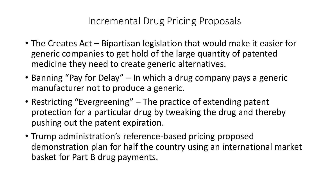# Incremental Drug Pricing Proposals

- The Creates Act Bipartisan legislation that would make it easier for generic companies to get hold of the large quantity of patented medicine they need to create generic alternatives.
- Banning "Pay for Delay" In which a drug company pays a generic manufacturer not to produce a generic.
- Restricting "Evergreening" The practice of extending patent protection for a particular drug by tweaking the drug and thereby pushing out the patent expiration.
- Trump administration's reference-based pricing proposed demonstration plan for half the country using an international market basket for Part B drug payments.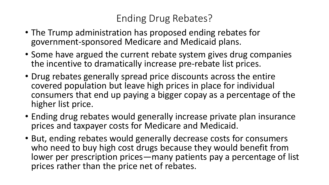# Ending Drug Rebates?

- The Trump administration has proposed ending rebates for government-sponsored Medicare and Medicaid plans.
- Some have argued the current rebate system gives drug companies the incentive to dramatically increase pre-rebate list prices.
- Drug rebates generally spread price discounts across the entire covered population but leave high prices in place for individual consumers that end up paying a bigger copay as a percentage of the higher list price.
- Ending drug rebates would generally increase private plan insurance prices and taxpayer costs for Medicare and Medicaid.
- But, ending rebates would generally decrease costs for consumers who need to buy high cost drugs because they would benefit from lower per prescription prices—many patients pay a percentage of list prices rather than the price net of rebates.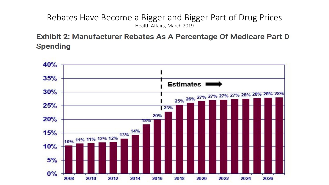#### Rebates Have Become a Bigger and Bigger Part of Drug Prices Health Affairs, March 2019

**Exhibit 2: Manufacturer Rebates As A Percentage Of Medicare Part D Spending** 

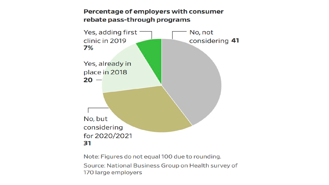#### Percentage of employers with consumer rebate pass-through programs



Note: Figures do not equal 100 due to rounding. Source: National Business Group on Health survey of 170 large employers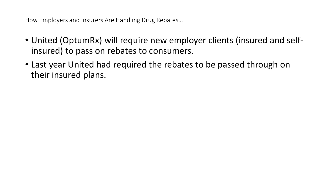How Employers and Insurers Are Handling Drug Rebates…

- United (OptumRx) will require new employer clients (insured and selfinsured) to pass on rebates to consumers.
- Last year United had required the rebates to be passed through on their insured plans.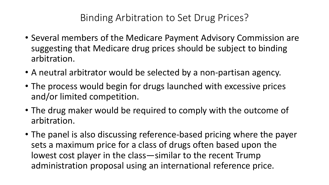# Binding Arbitration to Set Drug Prices?

- Several members of the Medicare Payment Advisory Commission are suggesting that Medicare drug prices should be subject to binding arbitration.
- A neutral arbitrator would be selected by a non-partisan agency.
- The process would begin for drugs launched with excessive prices and/or limited competition.
- The drug maker would be required to comply with the outcome of arbitration.
- The panel is also discussing reference-based pricing where the payer sets a maximum price for a class of drugs often based upon the lowest cost player in the class—similar to the recent Trump administration proposal using an international reference price.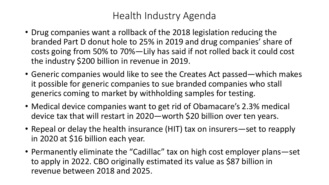# Health Industry Agenda

- Drug companies want a rollback of the 2018 legislation reducing the branded Part D donut hole to 25% in 2019 and drug companies' share of costs going from 50% to 70%—Lily has said if not rolled back it could cost the industry \$200 billion in revenue in 2019.
- Generic companies would like to see the Creates Act passed—which makes it possible for generic companies to sue branded companies who stall generics coming to market by withholding samples for testing.
- Medical device companies want to get rid of Obamacare's 2.3% medical device tax that will restart in 2020—worth \$20 billion over ten years.
- Repeal or delay the health insurance (HIT) tax on insurers—set to reapply in 2020 at \$16 billion each year.
- Permanently eliminate the "Cadillac" tax on high cost employer plans—set to apply in 2022. CBO originally estimated its value as \$87 billion in revenue between 2018 and 2025.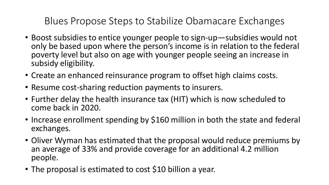# Blues Propose Steps to Stabilize Obamacare Exchanges

- Boost subsidies to entice younger people to sign-up—subsidies would not only be based upon where the person's income is in relation to the federal poverty level but also on age with younger people seeing an increase in subsidy eligibility.
- Create an enhanced reinsurance program to offset high claims costs.
- Resume cost-sharing reduction payments to insurers.
- Further delay the health insurance tax (HIT) which is now scheduled to come back in 2020.
- Increase enrollment spending by \$160 million in both the state and federal exchanges.
- Oliver Wyman has estimated that the proposal would reduce premiums by an average of 33% and provide coverage for an additional 4.2 million people.
- The proposal is estimated to cost \$10 billion a year.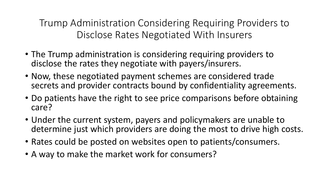Trump Administration Considering Requiring Providers to Disclose Rates Negotiated With Insurers

- The Trump administration is considering requiring providers to disclose the rates they negotiate with payers/insurers.
- Now, these negotiated payment schemes are considered trade secrets and provider contracts bound by confidentiality agreements.
- Do patients have the right to see price comparisons before obtaining care?
- Under the current system, payers and policymakers are unable to determine just which providers are doing the most to drive high costs.
- Rates could be posted on websites open to patients/consumers.
- A way to make the market work for consumers?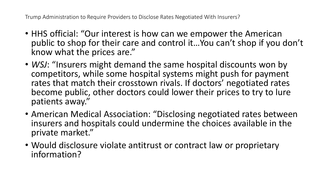Trump Administration to Require Providers to Disclose Rates Negotiated With Insurers?

- HHS official: "Our interest is how can we empower the American public to shop for their care and control it…You can't shop if you don't know what the prices are."
- *WSJ*: "Insurers might demand the same hospital discounts won by competitors, while some hospital systems might push for payment rates that match their crosstown rivals. If doctors' negotiated rates become public, other doctors could lower their prices to try to lure patients away."
- American Medical Association: "Disclosing negotiated rates between insurers and hospitals could undermine the choices available in the private market."
- Would disclosure violate antitrust or contract law or proprietary information?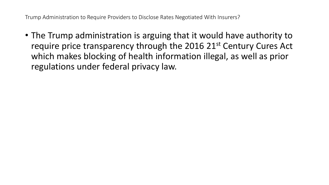Trump Administration to Require Providers to Disclose Rates Negotiated With Insurers?

• The Trump administration is arguing that it would have authority to require price transparency through the 2016 21<sup>st</sup> Century Cures Act which makes blocking of health information illegal, as well as prior regulations under federal privacy law.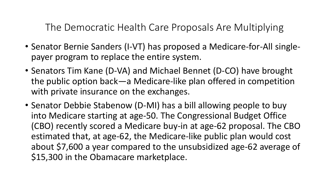The Democratic Health Care Proposals Are Multiplying

- Senator Bernie Sanders (I-VT) has proposed a Medicare-for-All singlepayer program to replace the entire system.
- Senators Tim Kane (D-VA) and Michael Bennet (D-CO) have brought the public option back—a Medicare-like plan offered in competition with private insurance on the exchanges.
- Senator Debbie Stabenow (D-MI) has a bill allowing people to buy into Medicare starting at age-50. The Congressional Budget Office (CBO) recently scored a Medicare buy-in at age-62 proposal. The CBO estimated that, at age-62, the Medicare-like public plan would cost about \$7,600 a year compared to the unsubsidized age-62 average of \$15,300 in the Obamacare marketplace.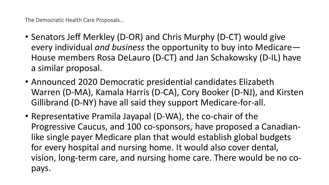The Democratic Health Care Proposals…

- Senators Jeff Merkley (D-OR) and Chris Murphy (D-CT) would give every individual *and business* the opportunity to buy into Medicare— House members Rosa DeLauro (D-CT) and Jan Schakowsky (D-IL) have a similar proposal.
- Announced 2020 Democratic presidential candidates Elizabeth Warren (D-MA), Kamala Harris (D-CA), Cory Booker (D-NJ), and Kirsten Gillibrand (D-NY) have all said they support Medicare-for-all.
- Representative Pramila Jayapal (D-WA), the co-chair of the Progressive Caucus, and 100 co-sponsors, have proposed a Canadianlike single payer Medicare plan that would establish global budgets for every hospital and nursing home. It would also cover dental, vision, long-term care, and nursing home care. There would be no copays.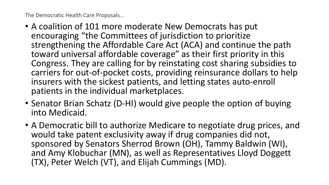The Democratic Health Care Proposals…

- A coalition of 101 more moderate New Democrats has put encouraging "the Committees of jurisdiction to prioritize strengthening the Affordable Care Act (ACA) and continue the path toward universal affordable coverage" as their first priority in this Congress. They are calling for by reinstating cost sharing subsidies to carriers for out-of-pocket costs, providing reinsurance dollars to help insurers with the sickest patients, and letting states auto-enroll patients in the individual marketplaces.
- Senator Brian Schatz (D-HI) would give people the option of buying into Medicaid.
- A Democratic bill to authorize Medicare to negotiate drug prices, and would take patent exclusivity away if drug companies did not, sponsored by Senators Sherrod Brown (OH), Tammy Baldwin (WI), and Amy Klobuchar (MN), as well as Representatives Lloyd Doggett (TX), Peter Welch (VT), and Elijah Cummings (MD).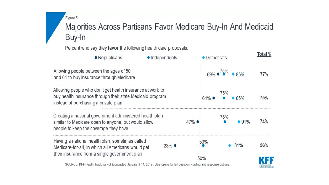Figure 5

### Majorities Across Partisans Favor Medicare Buy-In And Medicaid Buy-In

Percent who say they favor the following health care proposals:

| $\bullet$ Republicans                                                                                                                                          | • Independents  |        | • Democrats      |     |      | Total % |
|----------------------------------------------------------------------------------------------------------------------------------------------------------------|-----------------|--------|------------------|-----|------|---------|
| Allowing people between the ages of 50<br>and 64 to buy insurance through Medicare                                                                             | 69% .75%        |        | • 85%            | 77% |      |         |
| Allowing people who don't get health insurance at work to<br>buy health insurance through their state Medicaid program<br>instead of purchasing a private plan |                 |        | $64\%$ $\bullet$ | 75% | 85%  | 75%     |
| Creating a national government administered health plan<br>similar to Medicare open to anyone, but would allow<br>people to keep the coverage they have        |                 | $47\%$ |                  | 76% | •91% | 74%     |
| Having a national health plan, sometimes called<br>Medicare-for-all, in which all Americans would get<br>their insurance from a single government plan         | $23%$ $\bullet$ |        | 53%<br>50%       |     | 81%  | 56%     |
|                                                                                                                                                                |                 |        |                  |     |      |         |

HENRY J KAISER<br>FAMILY FOUNDATION

SOURCE: KFF Health Tracking Poll (conducted January 9-14, 2019). See topline for full question wording and response options.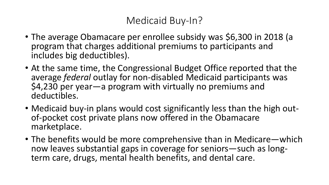# Medicaid Buy-In?

- The average Obamacare per enrollee subsidy was \$6,300 in 2018 (a program that charges additional premiums to participants and includes big deductibles).
- At the same time, the Congressional Budget Office reported that the average *federal* outlay for non-disabled Medicaid participants was \$4,230 per year—a program with virtually no premiums and deductibles.
- Medicaid buy-in plans would cost significantly less than the high out-<br>of-pocket cost private plans now offered in the Obamacare marketplace.
- The benefits would be more comprehensive than in Medicare—which now leaves substantial gaps in coverage for seniors—such as long- term care, drugs, mental health benefits, and dental care.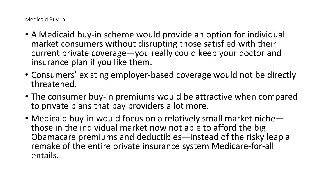Medicaid Buy-In…

- A Medicaid buy-in scheme would provide an option for individual market consumers without disrupting those satisfied with their current private coverage—you really could keep your doctor and insurance plan if you like them.
- Consumers' existing employer-based coverage would not be directly threatened.
- The consumer buy-in premiums would be attractive when compared to private plans that pay providers a lot more.
- Medicaid buy-in would focus on a relatively small market niche—<br>those in the individual market now not able to afford the big Obamacare premiums and deductibles—instead of the risky leap a remake of the entire private insurance system Medicare-for-all entails.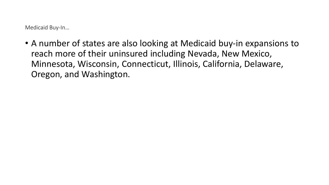Medicaid Buy-In…

• A number of states are also looking at Medicaid buy-in expansions to reach more of their uninsured including Nevada, New Mexico, Minnesota, Wisconsin, Connecticut, Illinois, California, Delaware, Oregon, and Washington.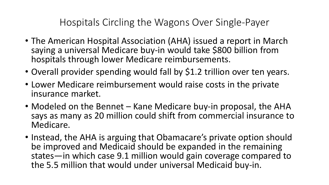Hospitals Circling the Wagons Over Single-Payer

- The American Hospital Association (AHA) issued a report in March saying a universal Medicare buy-in would take \$800 billion from hospitals through lower Medicare reimbursements.
- Overall provider spending would fall by \$1.2 trillion over ten years.
- Lower Medicare reimbursement would raise costs in the private insurance market.
- Modeled on the Bennet Kane Medicare buy-in proposal, the AHA says as many as 20 million could shift from commercial insurance to Medicare.
- Instead, the AHA is arguing that Obamacare's private option should be improved and Medicaid should be expanded in the remaining states—in which case 9.1 million would gain coverage compared to the 5.5 million that would under universal Medicaid buy-in.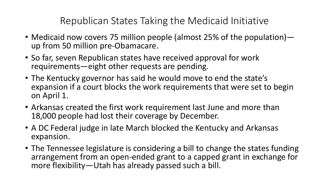Republican States Taking the Medicaid Initiative

- Medicaid now covers 75 million people (almost 25% of the population)— up from 50 million pre-Obamacare.
- So far, seven Republican states have received approval for work requirements—eight other requests are pending.
- The Kentucky governor has said he would move to end the state's expansion if a court blocks the work requirements that were set to begin on April 1.
- Arkansas created the first work requirement last June and more than 18,000 people had lost their coverage by December.
- A DC Federal judge in late March blocked the Kentucky and Arkansas expansion.
- The Tennessee legislature is considering a bill to change the states funding arrangement from an open-ended grant to a capped grant in exchange for more flexibility—Utah has already passed such a bill.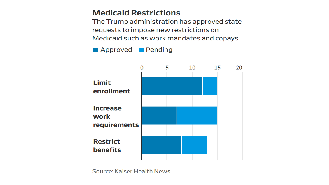### **Medicaid Restrictions**

The Trump administration has approved state requests to impose new restrictions on Medicaid such as work mandates and copays.

Approved Pending



Source: Kaiser Health News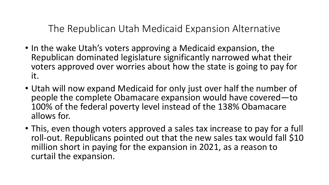The Republican Utah Medicaid Expansion Alternative

- In the wake Utah's voters approving a Medicaid expansion, the Republican dominated legislature significantly narrowed what their voters approved over worries about how the state is going to pay for it.
- Utah will now expand Medicaid for only just over half the number of people the complete Obamacare expansion would have covered—to 100% of the federal poverty level instead of the 138% Obamacare allows for.
- This, even though voters approved a sales tax increase to pay for a full roll-out. Republicans pointed out that the new sales tax would fall \$10 million short in paying for the expansion in 2021, as a reason to curtail the expansion.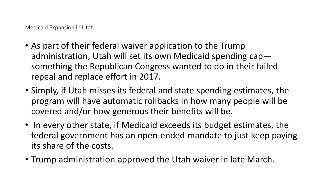Medicaid Expansion in Utah…

- As part of their federal waiver application to the Trump administration, Utah will set its own Medicaid spending cap something the Republican Congress wanted to do in their failed repeal and replace effort in 2017.
- Simply, if Utah misses its federal and state spending estimates, the program will have automatic rollbacks in how many people will be covered and/or how generous their benefits will be.
- In every other state, if Medicaid exceeds its budget estimates, the federal government has an open-ended mandate to just keep paying its share of the costs.
- Trump administration approved the Utah waiver in late March.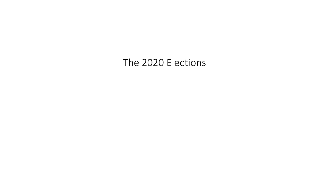### The 2020 Elections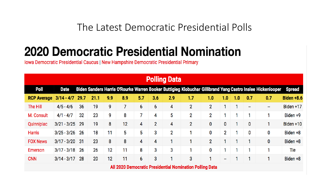The Latest Democratic Presidential Polls

# **2020 Democratic Presidential Nomination**

Iowa Democratic Presidential Caucus | New Hampshire Democratic Presidential Primary

| <b>Polling Data</b>                                      |               |      |      |     |     |     |                |              |                |                |     |     |                          |                                                                                                            |                   |
|----------------------------------------------------------|---------------|------|------|-----|-----|-----|----------------|--------------|----------------|----------------|-----|-----|--------------------------|------------------------------------------------------------------------------------------------------------|-------------------|
| <b>Poll</b>                                              | <b>Date</b>   |      |      |     |     |     |                |              |                |                |     |     |                          | Biden Sanders Harris O'Rourke Warren Booker Buttigieg Klobuchar Gillibrand Yang Castro Inslee Hickenlooper | <b>Spread</b>     |
| <b>RCP Average</b>                                       | $3/14 - 4/7$  | 29.7 | 21.1 | 9.9 | 8.9 | 5.7 | 3.6            | 2.9          | 1.7            | 1.0            | 1.0 | 1.0 | 0.7                      | 0.7                                                                                                        | <b>Biden +8.6</b> |
| The Hill                                                 | $4/5 - 4/6$   | 36   | 19   | 9   | 7   | 6   | 6              | 4            | $\overline{2}$ | $\overline{2}$ |     |     | $\overline{\phantom{a}}$ | $\overline{\phantom{a}}$                                                                                   | Biden +17         |
| M. Consult                                               | $4/1 - 4/7$   | 32   | 23   | 9   | 8   | 7   | 4              | 5            | 2              | 2              |     |     | 4                        |                                                                                                            | Biden +9          |
| Quinnipiac                                               | $3/21 - 3/25$ | 29   | 19   | 8   | 12  | 4   | $\overline{2}$ | 4            | $\overline{2}$ | 0              | 0   |     | 0                        | 1                                                                                                          | Biden $+10$       |
| <b>Harris</b>                                            | $3/25 - 3/26$ | 26   | 18   | 11  | 5   | 5   | 3              | $\mathbf{2}$ |                | 0              | 2   |     | 0                        | 0                                                                                                          | Biden +8          |
| <b>FOX News</b>                                          | $3/17 - 3/20$ | -31  | 23   | 8   | 8   | 4   | 4              |              |                | $\overline{2}$ |     |     |                          | 0                                                                                                          | Biden +8          |
| Emerson                                                  | $3/17 - 3/18$ | 26   | 26   | 12  | 11  | 8   | 3              | 3            |                | 0              | 1   |     | 4                        |                                                                                                            | Tie               |
| <b>CNN</b>                                               | $3/14 - 3/17$ | 28   | 20   | 12  | 11  | 6   | 3              |              | 3              | 1              | --  |     |                          |                                                                                                            | Biden +8          |
| All 2020 Democratic Presidential Nomination Polling Data |               |      |      |     |     |     |                |              |                |                |     |     |                          |                                                                                                            |                   |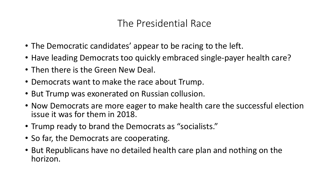# The Presidential Race

- The Democratic candidates' appear to be racing to the left.
- Have leading Democrats too quickly embraced single-payer health care?
- Then there is the Green New Deal.
- Democrats want to make the race about Trump.
- But Trump was exonerated on Russian collusion.
- Now Democrats are more eager to make health care the successful election issue it was for them in 2018.
- Trump ready to brand the Democrats as "socialists."
- So far, the Democrats are cooperating.
- But Republicans have no detailed health care plan and nothing on the horizon.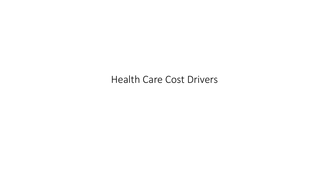Health Care Cost Drivers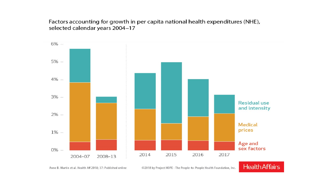Factors accounting for growth in per capita national health expenditures (NHE), selected calendar years 2004-17



©2018 by Project HOPE - The People-to-People Health Foundation, Inc.

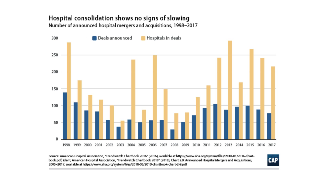#### Hospital consolidation shows no signs of slowing Number of announced hospital mergers and acquisitions, 1998-2017



Source: American Hospital Association, "Trendwatch Chartbook 2016" (2016), available at https://www.aha.org/system/files/2018-01/2016-chartbook.pdf; idem; American Hospital Association, 'Trendwatch Chartbook 2018' (2018), Chart 2.9: Announced Hospital Mergers and Acquisitions, 2005-2017, available at https://www.aha.org/system/files/2018-05/2018-chartbook-chart-2-9.pdf

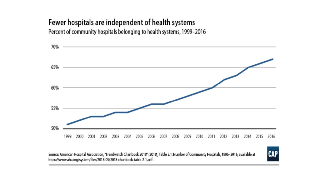# Fewer hospitals are independent of health systems

Percent of community hospitals belonging to health systems, 1999-2016



Source: American Hospital Association, 'Trendwatch Chartbook 2018' (2018), Table 2.1: Number of Community Hospitals, 1995-2016, available at https://www.aha.org/system/files/2018-05/2018-chartbook-table-2-1.pdf.